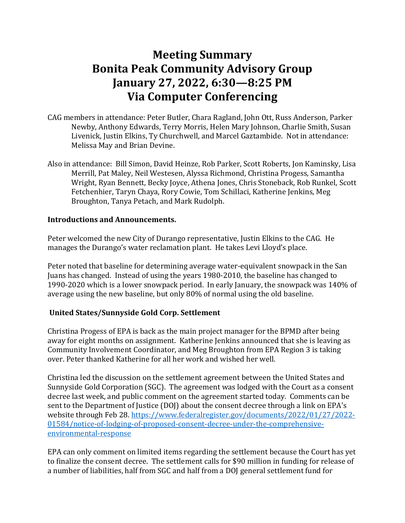# **Meeting Summary Bonita Peak Community Advisory Group January 27, 2022, 6:30—8:25 PM Via Computer Conferencing**

- CAG members in attendance: Peter Butler, Chara Ragland, John Ott, Russ Anderson, Parker Newby, Anthony Edwards, Terry Morris, Helen Mary Johnson, Charlie Smith, Susan Livenick, Justin Elkins, Ty Churchwell, and Marcel Gaztambide. Not in attendance: Melissa May and Brian Devine.
- Also in attendance: Bill Simon, David Heinze, Rob Parker, Scott Roberts, Jon Kaminsky, Lisa Merrill, Pat Maley, Neil Westesen, Alyssa Richmond, Christina Progess, Samantha Wright, Ryan Bennett, Becky Joyce, Athena Jones, Chris Stoneback, Rob Runkel, Scott Fetchenhier, Taryn Chaya, Rory Cowie, Tom Schillaci, Katherine Jenkins, Meg Broughton, Tanya Petach, and Mark Rudolph.

# **Introductions and Announcements.**

Peter welcomed the new City of Durango representative, Justin Elkins to the CAG. He manages the Durango's water reclamation plant. He takes Levi Lloyd's place.

Peter noted that baseline for determining average water-equivalent snowpack in the San Juans has changed. Instead of using the years 1980-2010, the baseline has changed to 1990-2020 which is a lower snowpack period. In early January, the snowpack was 140% of average using the new baseline, but only 80% of normal using the old baseline.

# **United States/Sunnyside Gold Corp. Settlement**

Christina Progess of EPA is back as the main project manager for the BPMD after being away for eight months on assignment. Katherine Jenkins announced that she is leaving as Community Involvement Coordinator, and Meg Broughton from EPA Region 3 is taking over. Peter thanked Katherine for all her work and wished her well.

Christina led the discussion on the settlement agreement between the United States and Sunnyside Gold Corporation (SGC). The agreement was lodged with the Court as a consent decree last week, and public comment on the agreement started today. Comments can be sent to the Department of Justice (DOJ) about the consent decree through a link on EPA's website through Feb 28. [https://www.federalregister.gov/documents/2022/01/27/2022-](https://www.federalregister.gov/documents/2022/01/27/2022-01584/notice-of-lodging-of-proposed-consent-decree-under-the-comprehensive-environmental-response) [01584/notice-of-lodging-of-proposed-consent-decree-under-the-comprehensive](https://www.federalregister.gov/documents/2022/01/27/2022-01584/notice-of-lodging-of-proposed-consent-decree-under-the-comprehensive-environmental-response)[environmental-response](https://www.federalregister.gov/documents/2022/01/27/2022-01584/notice-of-lodging-of-proposed-consent-decree-under-the-comprehensive-environmental-response)

EPA can only comment on limited items regarding the settlement because the Court has yet to finalize the consent decree. The settlement calls for \$90 million in funding for release of a number of liabilities, half from SGC and half from a DOJ general settlement fund for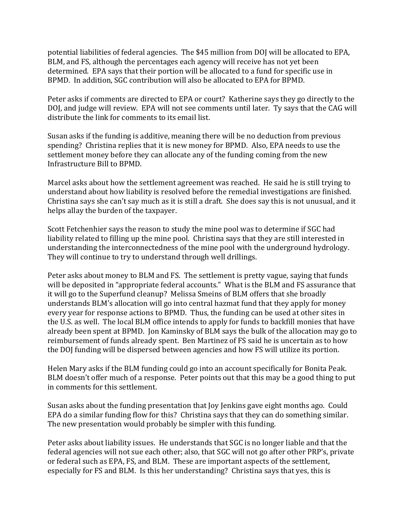potential liabilities of federal agencies. The \$45 million from DOJ will be allocated to EPA, BLM, and FS, although the percentages each agency will receive has not yet been determined. EPA says that their portion will be allocated to a fund for specific use in BPMD. In addition, SGC contribution will also be allocated to EPA for BPMD.

Peter asks if comments are directed to EPA or court? Katherine says they go directly to the DOJ, and judge will review. EPA will not see comments until later. Ty says that the CAG will distribute the link for comments to its email list.

Susan asks if the funding is additive, meaning there will be no deduction from previous spending? Christina replies that it is new money for BPMD. Also, EPA needs to use the settlement money before they can allocate any of the funding coming from the new Infrastructure Bill to BPMD.

Marcel asks about how the settlement agreement was reached. He said he is still trying to understand about how liability is resolved before the remedial investigations are finished. Christina says she can't say much as it is still a draft. She does say this is not unusual, and it helps allay the burden of the taxpayer.

Scott Fetchenhier says the reason to study the mine pool was to determine if SGC had liability related to filling up the mine pool. Christina says that they are still interested in understanding the interconnectedness of the mine pool with the underground hydrology. They will continue to try to understand through well drillings.

Peter asks about money to BLM and FS. The settlement is pretty vague, saying that funds will be deposited in "appropriate federal accounts." What is the BLM and FS assurance that it will go to the Superfund cleanup? Melissa Smeins of BLM offers that she broadly understands BLM's allocation will go into central hazmat fund that they apply for money every year for response actions to BPMD. Thus, the funding can be used at other sites in the U.S. as well. The local BLM office intends to apply for funds to backfill monies that have already been spent at BPMD. Jon Kaminsky of BLM says the bulk of the allocation may go to reimbursement of funds already spent. Ben Martinez of FS said he is uncertain as to how the DOJ funding will be dispersed between agencies and how FS will utilize its portion.

Helen Mary asks if the BLM funding could go into an account specifically for Bonita Peak. BLM doesn't offer much of a response. Peter points out that this may be a good thing to put in comments for this settlement.

Susan asks about the funding presentation that Joy Jenkins gave eight months ago. Could EPA do a similar funding flow for this? Christina says that they can do something similar. The new presentation would probably be simpler with this funding.

Peter asks about liability issues. He understands that SGC is no longer liable and that the federal agencies will not sue each other; also, that SGC will not go after other PRP's, private or federal such as EPA, FS, and BLM. These are important aspects of the settlement, especially for FS and BLM. Is this her understanding? Christina says that yes, this is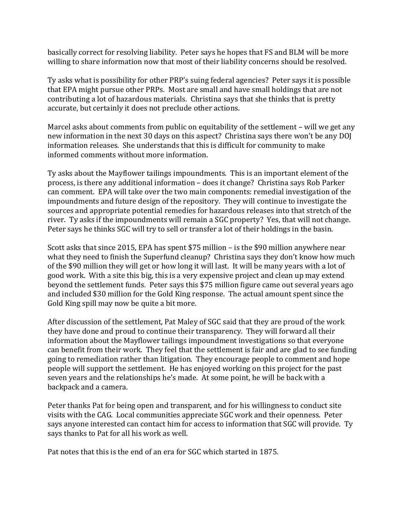basically correct for resolving liability. Peter says he hopes that FS and BLM will be more willing to share information now that most of their liability concerns should be resolved.

Ty asks what is possibility for other PRP's suing federal agencies? Peter says it is possible that EPA might pursue other PRPs. Most are small and have small holdings that are not contributing a lot of hazardous materials. Christina says that she thinks that is pretty accurate, but certainly it does not preclude other actions.

Marcel asks about comments from public on equitability of the settlement – will we get any new information in the next 30 days on this aspect? Christina says there won't be any DOJ information releases. She understands that this is difficult for community to make informed comments without more information.

Ty asks about the Mayflower tailings impoundments. This is an important element of the process, is there any additional information – does it change? Christina says Rob Parker can comment. EPA will take over the two main components: remedial investigation of the impoundments and future design of the repository. They will continue to investigate the sources and appropriate potential remedies for hazardous releases into that stretch of the river. Ty asks if the impoundments will remain a SGC property? Yes, that will not change. Peter says he thinks SGC will try to sell or transfer a lot of their holdings in the basin.

Scott asks that since 2015, EPA has spent \$75 million – is the \$90 million anywhere near what they need to finish the Superfund cleanup? Christina says they don't know how much of the \$90 million they will get or how long it will last. It will be many years with a lot of good work. With a site this big, this is a very expensive project and clean up may extend beyond the settlement funds. Peter says this \$75 million figure came out several years ago and included \$30 million for the Gold King response. The actual amount spent since the Gold King spill may now be quite a bit more.

After discussion of the settlement, Pat Maley of SGC said that they are proud of the work they have done and proud to continue their transparency. They will forward all their information about the Mayflower tailings impoundment investigations so that everyone can benefit from their work. They feel that the settlement is fair and are glad to see funding going to remediation rather than litigation. They encourage people to comment and hope people will support the settlement. He has enjoyed working on this project for the past seven years and the relationships he's made. At some point, he will be back with a backpack and a camera.

Peter thanks Pat for being open and transparent, and for his willingness to conduct site visits with the CAG. Local communities appreciate SGC work and their openness. Peter says anyone interested can contact him for access to information that SGC will provide. Ty says thanks to Pat for all his work as well.

Pat notes that this is the end of an era for SGC which started in 1875.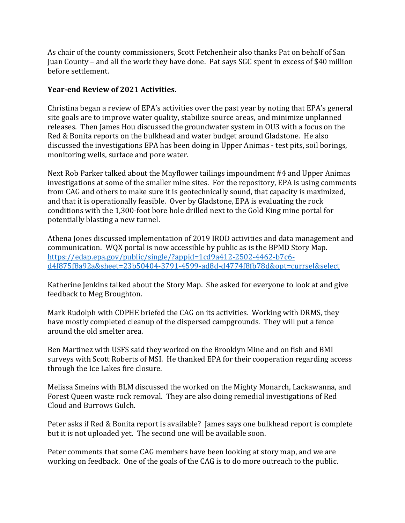As chair of the county commissioners, Scott Fetchenheir also thanks Pat on behalf of San Juan County – and all the work they have done. Pat says SGC spent in excess of \$40 million before settlement.

# **Year-end Review of 2021 Activities.**

Christina began a review of EPA's activities over the past year by noting that EPA's general site goals are to improve water quality, stabilize source areas, and minimize unplanned releases. Then James Hou discussed the groundwater system in OU3 with a focus on the Red & Bonita reports on the bulkhead and water budget around Gladstone. He also discussed the investigations EPA has been doing in Upper Animas - test pits, soil borings, monitoring wells, surface and pore water.

Next Rob Parker talked about the Mayflower tailings impoundment #4 and Upper Animas investigations at some of the smaller mine sites. For the repository, EPA is using comments from CAG and others to make sure it is geotechnically sound, that capacity is maximized, and that it is operationally feasible. Over by Gladstone, EPA is evaluating the rock conditions with the 1,300-foot bore hole drilled next to the Gold King mine portal for potentially blasting a new tunnel.

Athena Jones discussed implementation of 2019 IROD activities and data management and communication. WQX portal is now accessible by public as is the BPMD Story Map. [https://edap.epa.gov/public/single/?appid=1cd9a412-2502-4462-b7c6](https://edap.epa.gov/public/single/?appid=1cd9a412-2502-4462-b7c6-d4f875f8a92a&sheet=23b50404-3791-4599-ad8d-d4774f8fb78d&opt=currsel&select) [d4f875f8a92a&sheet=23b50404-3791-4599-ad8d-d4774f8fb78d&opt=currsel&select](https://edap.epa.gov/public/single/?appid=1cd9a412-2502-4462-b7c6-d4f875f8a92a&sheet=23b50404-3791-4599-ad8d-d4774f8fb78d&opt=currsel&select)

Katherine Jenkins talked about the Story Map. She asked for everyone to look at and give feedback to Meg Broughton.

Mark Rudolph with CDPHE briefed the CAG on its activities. Working with DRMS, they have mostly completed cleanup of the dispersed campgrounds. They will put a fence around the old smelter area.

Ben Martinez with USFS said they worked on the Brooklyn Mine and on fish and BMI surveys with Scott Roberts of MSI. He thanked EPA for their cooperation regarding access through the Ice Lakes fire closure.

Melissa Smeins with BLM discussed the worked on the Mighty Monarch, Lackawanna, and Forest Queen waste rock removal. They are also doing remedial investigations of Red Cloud and Burrows Gulch.

Peter asks if Red & Bonita report is available? James says one bulkhead report is complete but it is not uploaded yet. The second one will be available soon.

Peter comments that some CAG members have been looking at story map, and we are working on feedback. One of the goals of the CAG is to do more outreach to the public.